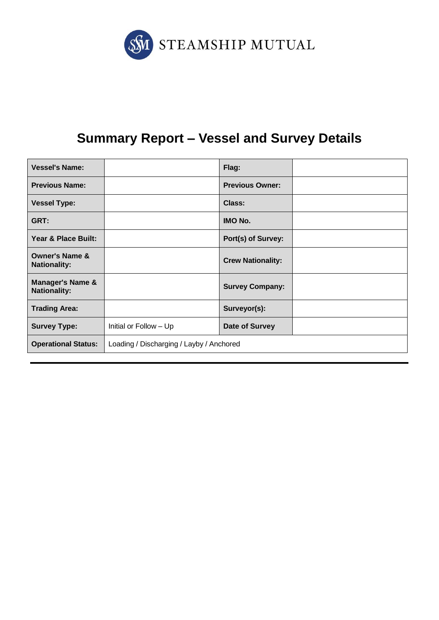

# **Summary Report – Vessel and Survey Details**

| <b>Vessel's Name:</b>                              |                                          | Flag:                    |  |  |
|----------------------------------------------------|------------------------------------------|--------------------------|--|--|
| <b>Previous Name:</b>                              |                                          | <b>Previous Owner:</b>   |  |  |
| <b>Vessel Type:</b>                                |                                          | Class:                   |  |  |
| GRT:                                               |                                          | <b>IMO No.</b>           |  |  |
| Year & Place Built:                                |                                          | Port(s) of Survey:       |  |  |
| <b>Owner's Name &amp;</b><br><b>Nationality:</b>   |                                          | <b>Crew Nationality:</b> |  |  |
| <b>Manager's Name &amp;</b><br><b>Nationality:</b> |                                          | <b>Survey Company:</b>   |  |  |
| <b>Trading Area:</b>                               |                                          | Surveyor(s):             |  |  |
| <b>Survey Type:</b>                                | Initial or Follow - Up                   | Date of Survey           |  |  |
| <b>Operational Status:</b>                         | Loading / Discharging / Layby / Anchored |                          |  |  |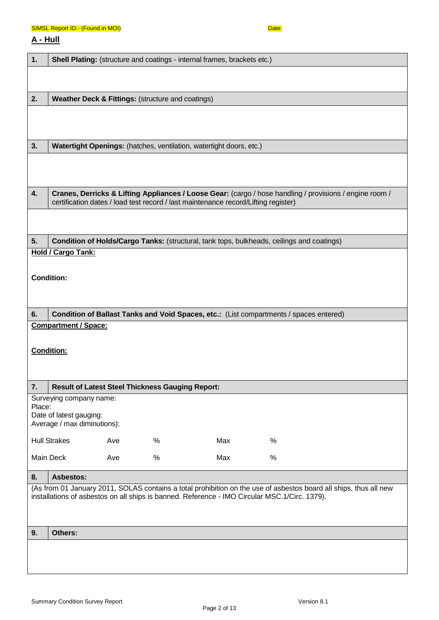#### SIMSL Report ID:- (Found in MOI) Date: Department of the SIMSL Report ID:- 0

# **A - Hull**

| 1.     |                                                                                   |     |                                                         | Shell Plating: (structure and coatings - internal frames, brackets etc.)           |                                                                                                                                                                                                                    |  |
|--------|-----------------------------------------------------------------------------------|-----|---------------------------------------------------------|------------------------------------------------------------------------------------|--------------------------------------------------------------------------------------------------------------------------------------------------------------------------------------------------------------------|--|
|        |                                                                                   |     |                                                         |                                                                                    |                                                                                                                                                                                                                    |  |
| 2.     |                                                                                   |     | Weather Deck & Fittings: (structure and coatings)       |                                                                                    |                                                                                                                                                                                                                    |  |
|        |                                                                                   |     |                                                         |                                                                                    |                                                                                                                                                                                                                    |  |
| 3.     |                                                                                   |     |                                                         | Watertight Openings: (hatches, ventilation, watertight doors, etc.)                |                                                                                                                                                                                                                    |  |
|        |                                                                                   |     |                                                         |                                                                                    |                                                                                                                                                                                                                    |  |
| 4.     |                                                                                   |     |                                                         | certification dates / load test record / last maintenance record/Lifting register) | Cranes, Derricks & Lifting Appliances / Loose Gear: (cargo / hose handling / provisions / engine room /                                                                                                            |  |
|        |                                                                                   |     |                                                         |                                                                                    |                                                                                                                                                                                                                    |  |
| 5.     |                                                                                   |     |                                                         |                                                                                    | Condition of Holds/Cargo Tanks: (structural, tank tops, bulkheads, ceilings and coatings)                                                                                                                          |  |
|        | <b>Hold / Cargo Tank:</b>                                                         |     |                                                         |                                                                                    |                                                                                                                                                                                                                    |  |
|        | <b>Condition:</b>                                                                 |     |                                                         |                                                                                    |                                                                                                                                                                                                                    |  |
| 6.     |                                                                                   |     |                                                         |                                                                                    | Condition of Ballast Tanks and Void Spaces, etc.: (List compartments / spaces entered)                                                                                                                             |  |
|        | <b>Compartment / Space:</b>                                                       |     |                                                         |                                                                                    |                                                                                                                                                                                                                    |  |
|        | <b>Condition:</b>                                                                 |     |                                                         |                                                                                    |                                                                                                                                                                                                                    |  |
| 7.     |                                                                                   |     | <b>Result of Latest Steel Thickness Gauging Report:</b> |                                                                                    |                                                                                                                                                                                                                    |  |
| Place: | Surveying company name:<br>Date of latest gauging:<br>Average / max diminutions): |     |                                                         |                                                                                    |                                                                                                                                                                                                                    |  |
|        | <b>Hull Strakes</b>                                                               | Ave | $\%$                                                    | Max                                                                                | $\%$                                                                                                                                                                                                               |  |
|        | Main Deck                                                                         | Ave | $\%$                                                    | Max                                                                                | %                                                                                                                                                                                                                  |  |
| 8.     | <b>Asbestos:</b>                                                                  |     |                                                         |                                                                                    |                                                                                                                                                                                                                    |  |
|        |                                                                                   |     |                                                         |                                                                                    | (As from 01 January 2011, SOLAS contains a total prohibition on the use of asbestos board all ships, thus all new<br>installations of asbestos on all ships is banned. Reference - IMO Circular MSC.1/Circ. 1379). |  |
| 9.     | Others:                                                                           |     |                                                         |                                                                                    |                                                                                                                                                                                                                    |  |
|        |                                                                                   |     |                                                         |                                                                                    |                                                                                                                                                                                                                    |  |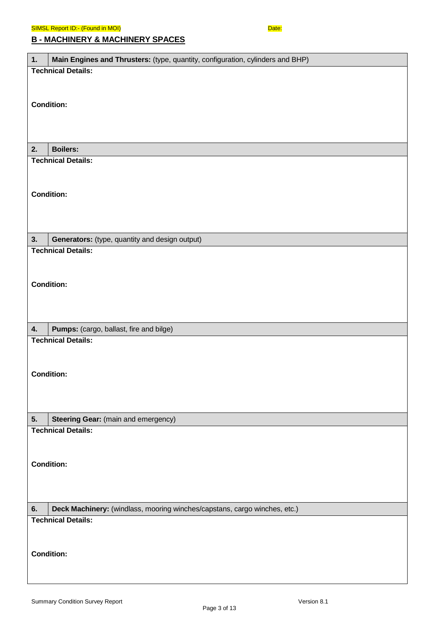| 1.<br>Main Engines and Thrusters: (type, quantity, configuration, cylinders and BHP) |
|--------------------------------------------------------------------------------------|
| <b>Technical Details:</b>                                                            |
|                                                                                      |
| <b>Condition:</b>                                                                    |
|                                                                                      |
|                                                                                      |
|                                                                                      |
| <b>Boilers:</b><br>2.                                                                |
| <b>Technical Details:</b>                                                            |
|                                                                                      |
| <b>Condition:</b>                                                                    |
|                                                                                      |
|                                                                                      |
|                                                                                      |
| 3.<br>Generators: (type, quantity and design output)<br><b>Technical Details:</b>    |
|                                                                                      |
|                                                                                      |
| <b>Condition:</b>                                                                    |
|                                                                                      |
|                                                                                      |
| 4.<br>Pumps: (cargo, ballast, fire and bilge)                                        |
| <b>Technical Details:</b>                                                            |
|                                                                                      |
|                                                                                      |
| <b>Condition:</b>                                                                    |
|                                                                                      |
|                                                                                      |
| 5.<br><b>Steering Gear:</b> (main and emergency)                                     |
| <b>Technical Details:</b>                                                            |
|                                                                                      |
| <b>Condition:</b>                                                                    |
|                                                                                      |
|                                                                                      |
|                                                                                      |
| Deck Machinery: (windlass, mooring winches/capstans, cargo winches, etc.)<br>6.      |
| <b>Technical Details:</b>                                                            |
|                                                                                      |
| <b>Condition:</b>                                                                    |
|                                                                                      |
|                                                                                      |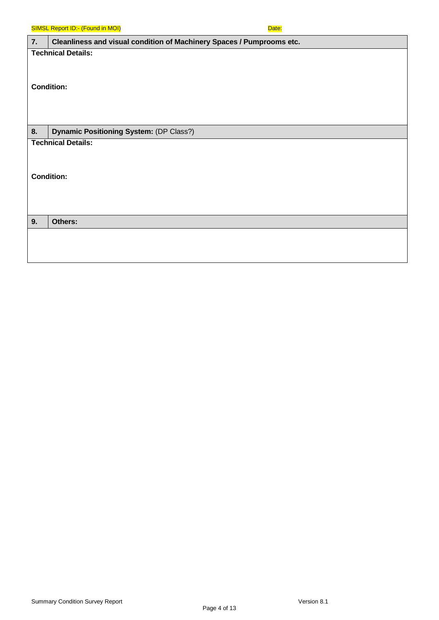|    | <b>SIMSL Report ID:- (Found in MOI)</b>                               | Date: |
|----|-----------------------------------------------------------------------|-------|
| 7. | Cleanliness and visual condition of Machinery Spaces / Pumprooms etc. |       |
|    | <b>Technical Details:</b>                                             |       |
|    |                                                                       |       |
|    |                                                                       |       |
|    | <b>Condition:</b>                                                     |       |
|    |                                                                       |       |
|    |                                                                       |       |
| 8. | Dynamic Positioning System: (DP Class?)                               |       |
|    | <b>Technical Details:</b>                                             |       |
|    |                                                                       |       |
|    |                                                                       |       |
|    | <b>Condition:</b>                                                     |       |
|    |                                                                       |       |
|    |                                                                       |       |
| 9. | Others:                                                               |       |
|    |                                                                       |       |
|    |                                                                       |       |
|    |                                                                       |       |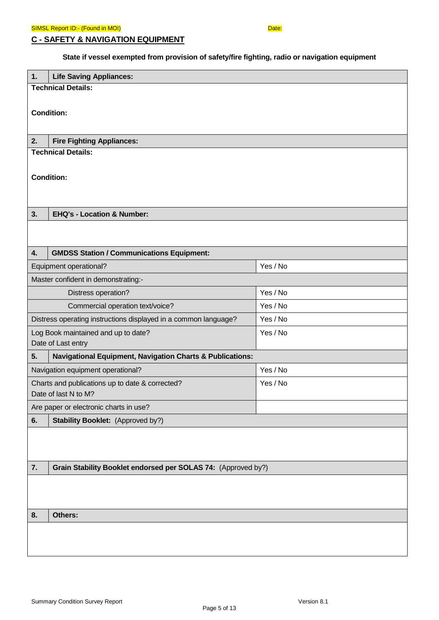**C - SAFETY & NAVIGATION EQUIPMENT**

# **State if vessel exempted from provision of safety/fire fighting, radio or navigation equipment**

| 1. | <b>Life Saving Appliances:</b>                                                          |          |  |  |  |
|----|-----------------------------------------------------------------------------------------|----------|--|--|--|
|    | <b>Technical Details:</b>                                                               |          |  |  |  |
|    |                                                                                         |          |  |  |  |
|    | <b>Condition:</b>                                                                       |          |  |  |  |
|    |                                                                                         |          |  |  |  |
| 2. | <b>Fire Fighting Appliances:</b><br><b>Technical Details:</b>                           |          |  |  |  |
|    |                                                                                         |          |  |  |  |
|    | <b>Condition:</b>                                                                       |          |  |  |  |
|    |                                                                                         |          |  |  |  |
|    |                                                                                         |          |  |  |  |
| 3. | <b>EHQ's - Location &amp; Number:</b>                                                   |          |  |  |  |
|    |                                                                                         |          |  |  |  |
|    |                                                                                         |          |  |  |  |
| 4. | <b>GMDSS Station / Communications Equipment:</b>                                        |          |  |  |  |
|    | Equipment operational?                                                                  | Yes / No |  |  |  |
|    | Master confident in demonstrating:-                                                     |          |  |  |  |
|    | Yes / No<br>Distress operation?                                                         |          |  |  |  |
|    | Yes / No<br>Commercial operation text/voice?                                            |          |  |  |  |
|    | Yes / No<br>Distress operating instructions displayed in a common language?<br>Yes / No |          |  |  |  |
|    | Log Book maintained and up to date?<br>Date of Last entry                               |          |  |  |  |
| 5. | <b>Navigational Equipment, Navigation Charts &amp; Publications:</b>                    |          |  |  |  |
|    | Navigation equipment operational?                                                       | Yes / No |  |  |  |
|    | Charts and publications up to date & corrected?                                         | Yes / No |  |  |  |
|    | Date of last N to M?                                                                    |          |  |  |  |
|    | Are paper or electronic charts in use?                                                  |          |  |  |  |
| 6. | <b>Stability Booklet:</b> (Approved by?)                                                |          |  |  |  |
|    |                                                                                         |          |  |  |  |
|    |                                                                                         |          |  |  |  |
| 7. | Grain Stability Booklet endorsed per SOLAS 74: (Approved by?)                           |          |  |  |  |
|    |                                                                                         |          |  |  |  |
|    |                                                                                         |          |  |  |  |
|    |                                                                                         |          |  |  |  |
| 8. | Others:                                                                                 |          |  |  |  |
|    |                                                                                         |          |  |  |  |
|    |                                                                                         |          |  |  |  |
|    |                                                                                         |          |  |  |  |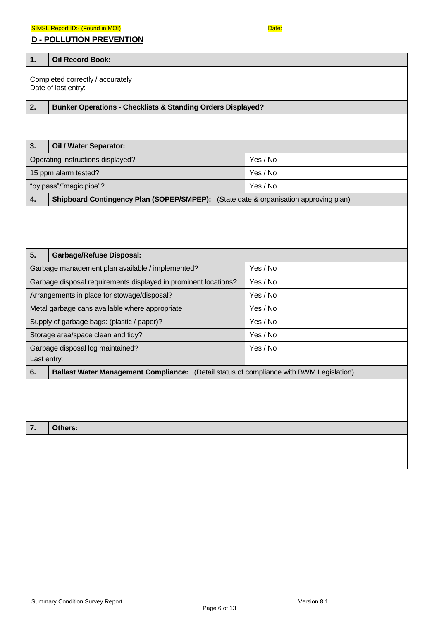#### SIMSL Report ID:- (Found in MOI) Date: Department of the SIMSL Report ID:- 0

### **D - POLLUTION PREVENTION**

| 1. | <b>Oil Record Book:</b>                                                                 |          |  |  |  |
|----|-----------------------------------------------------------------------------------------|----------|--|--|--|
|    | Completed correctly / accurately<br>Date of last entry:-                                |          |  |  |  |
| 2. | <b>Bunker Operations - Checklists &amp; Standing Orders Displayed?</b>                  |          |  |  |  |
|    |                                                                                         |          |  |  |  |
| 3. | Oil / Water Separator:                                                                  |          |  |  |  |
|    | Operating instructions displayed?                                                       | Yes / No |  |  |  |
|    | 15 ppm alarm tested?                                                                    | Yes / No |  |  |  |
|    | "by pass"/"magic pipe"?                                                                 | Yes / No |  |  |  |
| 4. | Shipboard Contingency Plan (SOPEP/SMPEP): (State date & organisation approving plan)    |          |  |  |  |
|    |                                                                                         |          |  |  |  |
| 5. | <b>Garbage/Refuse Disposal:</b>                                                         |          |  |  |  |
|    | Yes / No<br>Garbage management plan available / implemented?                            |          |  |  |  |
|    | Garbage disposal requirements displayed in prominent locations?<br>Yes / No             |          |  |  |  |
|    | Yes / No<br>Arrangements in place for stowage/disposal?                                 |          |  |  |  |
|    | Yes / No<br>Metal garbage cans available where appropriate                              |          |  |  |  |
|    | Supply of garbage bags: (plastic / paper)?                                              | Yes / No |  |  |  |
|    | Storage area/space clean and tidy?                                                      | Yes / No |  |  |  |
|    | Yes / No<br>Garbage disposal log maintained?<br>Last entry:                             |          |  |  |  |
| 6. | Ballast Water Management Compliance: (Detail status of compliance with BWM Legislation) |          |  |  |  |
|    |                                                                                         |          |  |  |  |
| 7. | Others:                                                                                 |          |  |  |  |
|    |                                                                                         |          |  |  |  |
|    |                                                                                         |          |  |  |  |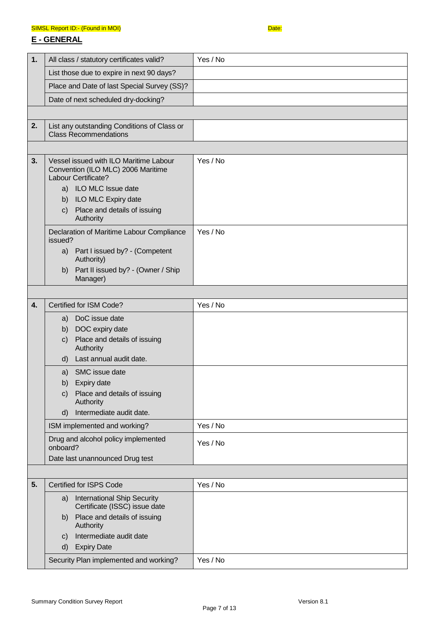#### SIMSL Report ID:- (Found in MOI) Date: Department of the SIMSL Report ID:- 0

### **E - GENERAL**

| 1. | All class / statutory certificates valid?                                                           | Yes / No |
|----|-----------------------------------------------------------------------------------------------------|----------|
|    | List those due to expire in next 90 days?                                                           |          |
|    | Place and Date of last Special Survey (SS)?                                                         |          |
|    | Date of next scheduled dry-docking?                                                                 |          |
|    |                                                                                                     |          |
| 2. | List any outstanding Conditions of Class or<br><b>Class Recommendations</b>                         |          |
|    |                                                                                                     |          |
| 3. | Vessel issued with ILO Maritime Labour<br>Convention (ILO MLC) 2006 Maritime<br>Labour Certificate? | Yes / No |
|    | a) ILO MLC Issue date                                                                               |          |
|    | ILO MLC Expiry date<br>b)<br>Place and details of issuing<br>C)                                     |          |
|    | Authority                                                                                           |          |
|    | Declaration of Maritime Labour Compliance<br>issued?                                                | Yes / No |
|    | a) Part I issued by? - (Competent<br>Authority)                                                     |          |
|    | Part II issued by? - (Owner / Ship<br>b)                                                            |          |
|    | Manager)                                                                                            |          |
|    |                                                                                                     |          |
| 4. | Certified for ISM Code?                                                                             | Yes / No |
|    | a) DoC issue date                                                                                   |          |
|    | b) DOC expiry date<br>Place and details of issuing<br>C)                                            |          |
|    | Authority                                                                                           |          |
|    | Last annual audit date.<br>d)                                                                       |          |
|    | a) SMC issue date                                                                                   |          |
|    | b) Expiry date                                                                                      |          |
|    | Place and details of issuing<br>C)<br>Authority                                                     |          |
|    | Intermediate audit date.<br>d)                                                                      |          |
|    | ISM implemented and working?                                                                        | Yes / No |
|    | Drug and alcohol policy implemented<br>onboard?                                                     | Yes / No |
|    | Date last unannounced Drug test                                                                     |          |
|    |                                                                                                     |          |
| 5. | <b>Certified for ISPS Code</b>                                                                      | Yes / No |
|    | a) International Ship Security<br>Certificate (ISSC) issue date                                     |          |
|    | Place and details of issuing<br>b)<br>Authority                                                     |          |
|    | Intermediate audit date<br>C)                                                                       |          |
|    | <b>Expiry Date</b><br>d)                                                                            |          |
|    | Security Plan implemented and working?                                                              | Yes / No |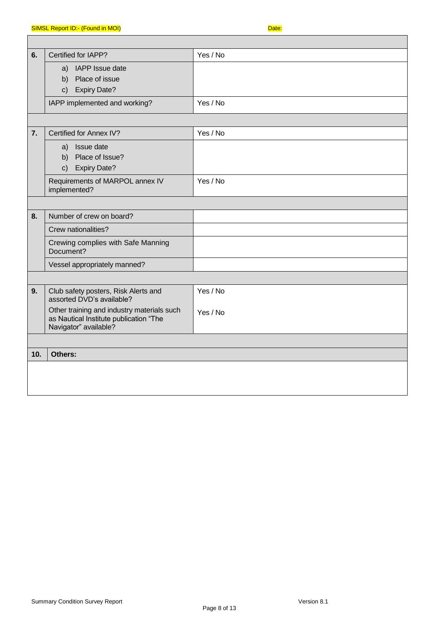| 6.  | Certified for IAPP?                                                                                           | Yes / No |
|-----|---------------------------------------------------------------------------------------------------------------|----------|
|     | a) IAPP Issue date                                                                                            |          |
|     | b) Place of issue                                                                                             |          |
|     | c) Expiry Date?                                                                                               |          |
|     | IAPP implemented and working?                                                                                 | Yes / No |
|     |                                                                                                               |          |
| 7.  | Certified for Annex IV?                                                                                       | Yes / No |
|     | Issue date<br>a)                                                                                              |          |
|     | b) Place of Issue?                                                                                            |          |
|     | <b>Expiry Date?</b><br>$\mathsf{C}$ )                                                                         |          |
|     | Requirements of MARPOL annex IV<br>implemented?                                                               | Yes / No |
|     |                                                                                                               |          |
| 8.  | Number of crew on board?                                                                                      |          |
|     | Crew nationalities?                                                                                           |          |
|     | Crewing complies with Safe Manning<br>Document?                                                               |          |
|     | Vessel appropriately manned?                                                                                  |          |
|     |                                                                                                               |          |
| 9.  | Club safety posters, Risk Alerts and<br>assorted DVD's available?                                             | Yes / No |
|     | Other training and industry materials such<br>as Nautical Institute publication "The<br>Navigator" available? | Yes / No |
|     |                                                                                                               |          |
| 10. | Others:                                                                                                       |          |
|     |                                                                                                               |          |
|     |                                                                                                               |          |
|     |                                                                                                               |          |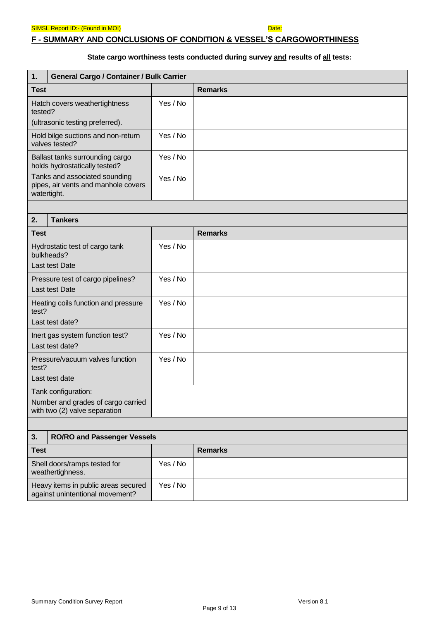### **F - SUMMARY AND CONCLUSIONS OF CONDITION & VESSEL'S CARGOWORTHINESS**

### **State cargo worthiness tests conducted during survey and results of all tests:**

| 1.                                                                                         | General Cargo / Container / Bulk Carrier                                            |          |                |
|--------------------------------------------------------------------------------------------|-------------------------------------------------------------------------------------|----------|----------------|
| <b>Test</b>                                                                                |                                                                                     |          | <b>Remarks</b> |
| Hatch covers weathertightness<br>tested?<br>(ultrasonic testing preferred).                |                                                                                     | Yes / No |                |
| Hold bilge suctions and non-return<br>valves tested?                                       |                                                                                     | Yes / No |                |
|                                                                                            | Ballast tanks surrounding cargo<br>holds hydrostatically tested?                    | Yes / No |                |
|                                                                                            | Tanks and associated sounding<br>pipes, air vents and manhole covers<br>watertight. | Yes / No |                |
|                                                                                            |                                                                                     |          |                |
| 2.                                                                                         | <b>Tankers</b>                                                                      |          |                |
| <b>Test</b>                                                                                |                                                                                     |          | <b>Remarks</b> |
| Hydrostatic test of cargo tank<br>bulkheads?<br><b>Last test Date</b>                      |                                                                                     | Yes / No |                |
| Pressure test of cargo pipelines?<br>Last test Date                                        |                                                                                     | Yes / No |                |
| Heating coils function and pressure<br>test?<br>Last test date?                            |                                                                                     | Yes / No |                |
| Inert gas system function test?<br>Last test date?                                         |                                                                                     | Yes / No |                |
| Pressure/vacuum valves function<br>test?<br>Last test date                                 |                                                                                     | Yes / No |                |
| Tank configuration:<br>Number and grades of cargo carried<br>with two (2) valve separation |                                                                                     |          |                |
|                                                                                            |                                                                                     |          |                |
| <b>RO/RO and Passenger Vessels</b><br>3.                                                   |                                                                                     |          |                |
| <b>Test</b>                                                                                |                                                                                     |          | <b>Remarks</b> |
|                                                                                            | Shell doors/ramps tested for<br>weathertighness.                                    | Yes / No |                |
| Heavy items in public areas secured                                                        |                                                                                     | Yes / No |                |

against unintentional movement?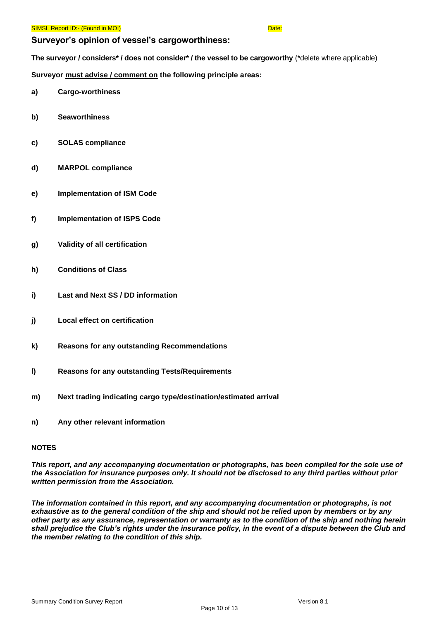#### **Surveyor's opinion of vessel's cargoworthiness:**

**The surveyor / considers\* / does not consider\* / the vessel to be cargoworthy** (\*delete where applicable)

**Surveyor must advise / comment on the following principle areas:**

- **a) Cargo-worthiness**
- **b) Seaworthiness**
- **c) SOLAS compliance**
- **d) MARPOL compliance**
- **e) Implementation of ISM Code**
- **f) Implementation of ISPS Code**
- **g) Validity of all certification**
- **h) Conditions of Class**
- **i) Last and Next SS / DD information**
- **j) Local effect on certification**
- **k) Reasons for any outstanding Recommendations**
- **l) Reasons for any outstanding Tests/Requirements**
- **m) Next trading indicating cargo type/destination/estimated arrival**
- **n) Any other relevant information**

#### **NOTES**

*This report, and any accompanying documentation or photographs, has been compiled for the sole use of the Association for insurance purposes only. It should not be disclosed to any third parties without prior written permission from the Association.*

*The information contained in this report, and any accompanying documentation or photographs, is not exhaustive as to the general condition of the ship and should not be relied upon by members or by any other party as any assurance, representation or warranty as to the condition of the ship and nothing herein shall prejudice the Club's rights under the insurance policy, in the event of a dispute between the Club and the member relating to the condition of this ship.*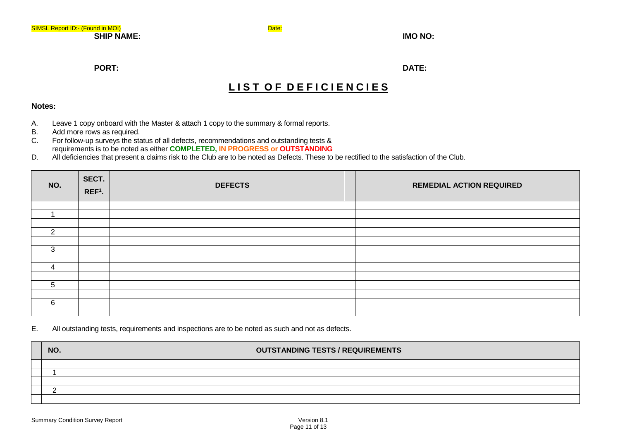**PORT: DATE:**

# LIST OF DEFICIENCIES

#### **Notes:**

- A. Leave 1 copy onboard with the Master & attach 1 copy to the summary & formal reports.
- B. Add more rows as required.<br>C. For follow-up surveys the sta
- For follow-up surveys the status of all defects, recommendations and outstanding tests & requirements is to be noted as either **COMPLETED, IN PROGRESS or OUTSTANDING**
- D. All deficiencies that present a claims risk to the Club are to be noted as Defects. These to be rectified to the satisfaction of the Club.

| NO.            | SECT.<br>$REF1$ . | <b>DEFECTS</b> | <b>REMEDIAL ACTION REQUIRED</b> |
|----------------|-------------------|----------------|---------------------------------|
|                |                   |                |                                 |
|                |                   |                |                                 |
|                |                   |                |                                 |
| $\overline{2}$ |                   |                |                                 |
|                |                   |                |                                 |
| 3              |                   |                |                                 |
|                |                   |                |                                 |
| 4              |                   |                |                                 |
|                |                   |                |                                 |
| 5              |                   |                |                                 |
|                |                   |                |                                 |
| 6              |                   |                |                                 |
|                |                   |                |                                 |

#### E. All outstanding tests, requirements and inspections are to be noted as such and not as defects.

| NO. | <b>OUTSTANDING TESTS / REQUIREMENTS</b> |
|-----|-----------------------------------------|
|     |                                         |
|     |                                         |
|     |                                         |
|     |                                         |
|     |                                         |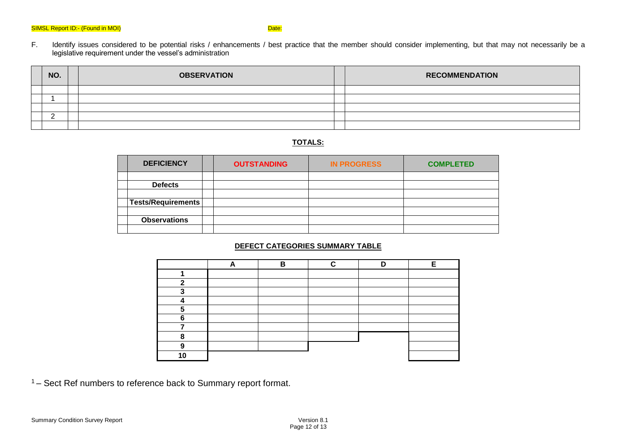F. Identify issues considered to be potential risks / enhancements / best practice that the member should consider implementing, but that may not necessarily be a legislative requirement under the vessel's administration

| NO. | <b>OBSERVATION</b> | <b>RECOMMENDATION</b> |
|-----|--------------------|-----------------------|
|     |                    |                       |
|     |                    |                       |
|     |                    |                       |
|     |                    |                       |
|     |                    |                       |

### **TOTALS:**

| <b>DEFICIENCY</b>         | <b>OUTSTANDING</b> | <b>IN PROGRESS</b> | <b>COMPLETED</b> |
|---------------------------|--------------------|--------------------|------------------|
|                           |                    |                    |                  |
| <b>Defects</b>            |                    |                    |                  |
|                           |                    |                    |                  |
| <b>Tests/Requirements</b> |                    |                    |                  |
|                           |                    |                    |                  |
| <b>Observations</b>       |                    |                    |                  |
|                           |                    |                    |                  |

#### **DEFECT CATEGORIES SUMMARY TABLE**

|   | в | ~ |  |
|---|---|---|--|
|   |   |   |  |
| ◠ |   |   |  |
| e |   |   |  |
|   |   |   |  |
|   |   |   |  |
| c |   |   |  |
|   |   |   |  |
| o |   |   |  |
|   |   |   |  |
|   |   |   |  |

<sup>1</sup>– Sect Ref numbers to reference back to Summary report format.